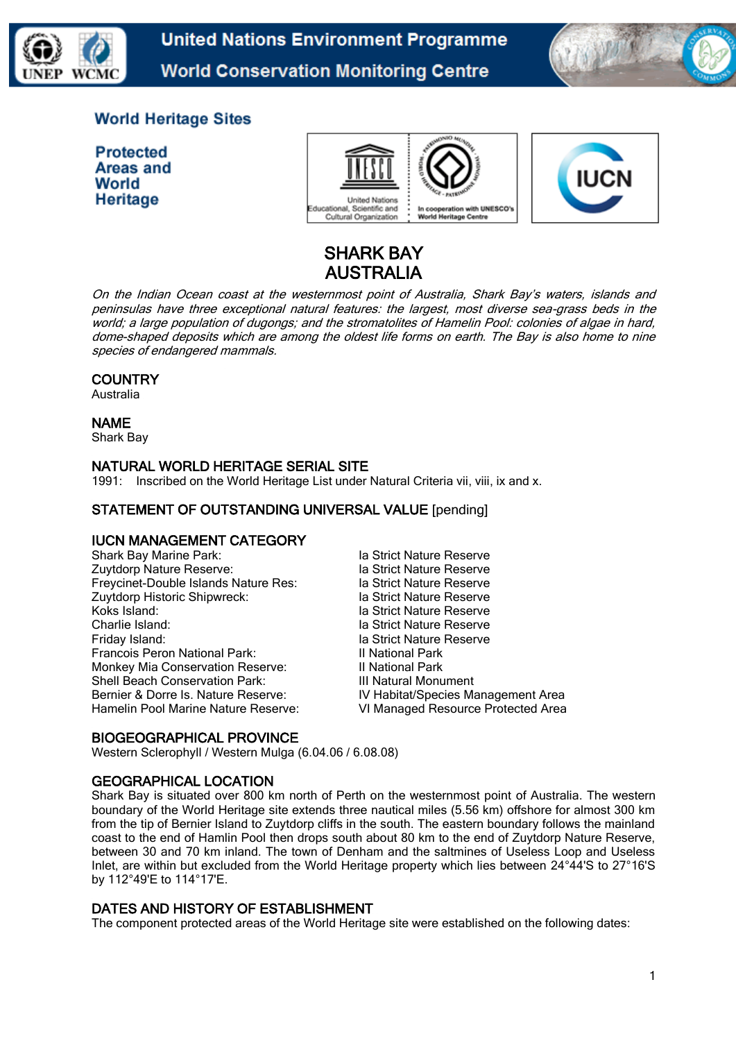

**United Nations Environment Programme World Conservation Monitoring Centre** 



## **World Heritage Sites**

**Protected Areas and** World **Heritage** 





# SHARK BAY AUSTRALIA

On the Indian Ocean coast at the westernmost point of Australia, Shark Bay's waters, islands and peninsulas have three exceptional natural features: the largest, most diverse sea-grass beds in the world; a large population of dugongs; and the stromatolites of Hamelin Pool: colonies of algae in hard, dome-shaped deposits which are among the oldest life forms on earth. The Bay is also home to nine species of endangered mammals.

## **COUNTRY**

Australia

## NAME

Shark Bay

## NATURAL WORLD HERITAGE SERIAL SITE

1991: Inscribed on the World Heritage List under Natural Criteria vii, viii, ix and x.

## STATEMENT OF OUTSTANDING UNIVERSAL VALUE [pending]

## IUCN MANAGEMENT CATEGORY

| Shark Bay Marine Park:                | la Strict Nature Reserve           |
|---------------------------------------|------------------------------------|
| Zuytdorp Nature Reserve:              | la Strict Nature Reserve           |
| Freycinet-Double Islands Nature Res:  | la Strict Nature Reserve           |
| Zuytdorp Historic Shipwreck:          | la Strict Nature Reserve           |
| Koks Island:                          | la Strict Nature Reserve           |
| Charlie Island:                       | la Strict Nature Reserve           |
| Friday Island:                        | la Strict Nature Reserve           |
| Francois Peron National Park:         | Il National Park                   |
| Monkey Mia Conservation Reserve:      | Il National Park                   |
| <b>Shell Beach Conservation Park:</b> | III Natural Monument               |
| Bernier & Dorre Is. Nature Reserve:   | IV Habitat/Species Management Area |
| Hamelin Pool Marine Nature Reserve:   | VI Managed Resource Protected Area |

## BIOGEOGRAPHICAL PROVINCE

Western Sclerophyll / Western Mulga (6.04.06 / 6.08.08)

## GEOGRAPHICAL LOCATION

Shark Bay is situated over 800 km north of Perth on the westernmost point of Australia. The western boundary of the World Heritage site extends three nautical miles (5.56 km) offshore for almost 300 km from the tip of Bernier Island to Zuytdorp cliffs in the south. The eastern boundary follows the mainland coast to the end of Hamlin Pool then drops south about 80 km to the end of Zuytdorp Nature Reserve, between 30 and 70 km inland. The town of Denham and the saltmines of Useless Loop and Useless Inlet, are within but excluded from the World Heritage property which lies between 24°44'S to 27°16'S by 112°49'E to 114°17'E.

## DATES AND HISTORY OF ESTABLISHMENT

The component protected areas of the World Heritage site were established on the following dates: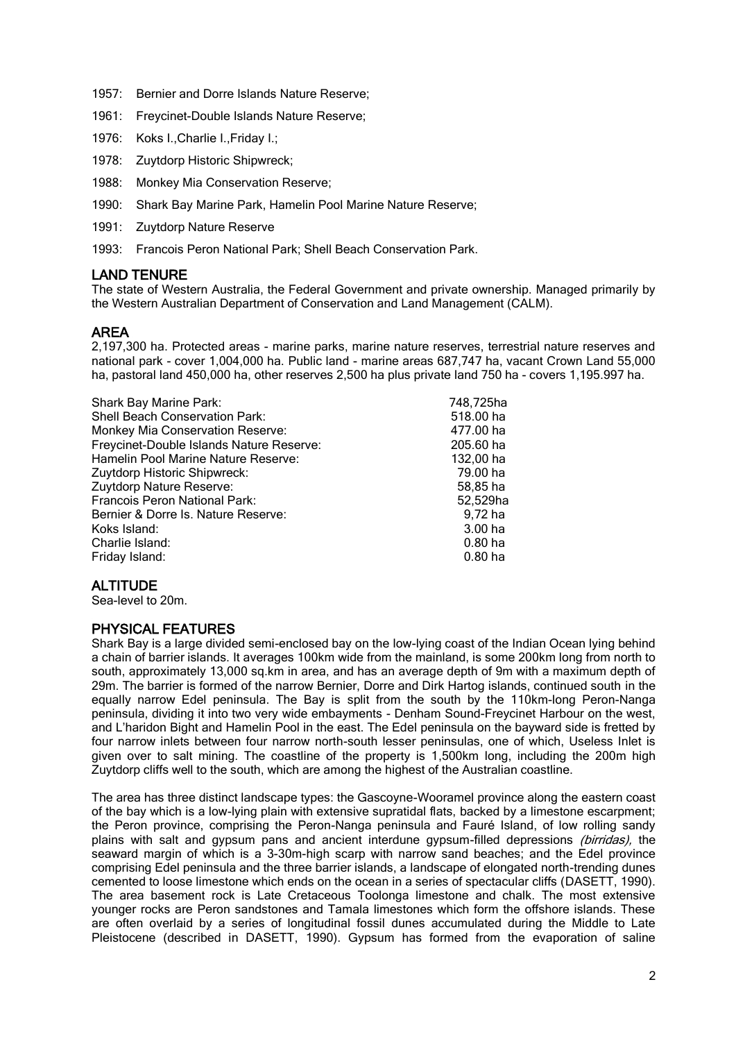- 1957: Bernier and Dorre Islands Nature Reserve;
- 1961: Freycinet-Double Islands Nature Reserve;
- 1976: Koks I.,Charlie I.,Friday I.;
- 1978: Zuytdorp Historic Shipwreck;
- 1988: Monkey Mia Conservation Reserve;
- 1990: Shark Bay Marine Park, Hamelin Pool Marine Nature Reserve;
- 1991: Zuytdorp Nature Reserve
- 1993: Francois Peron National Park; Shell Beach Conservation Park.

#### LAND TENURE

The state of Western Australia, the Federal Government and private ownership. Managed primarily by the Western Australian Department of Conservation and Land Management (CALM).

#### AREA

2,197,300 ha. Protected areas - marine parks, marine nature reserves, terrestrial nature reserves and national park - cover 1,004,000 ha. Public land - marine areas 687,747 ha, vacant Crown Land 55,000 ha, pastoral land 450,000 ha, other reserves 2,500 ha plus private land 750 ha - covers 1,195.997 ha.

| Shark Bay Marine Park:                   | 748,725ha          |
|------------------------------------------|--------------------|
| <b>Shell Beach Conservation Park:</b>    | 518.00 ha          |
| <b>Monkey Mia Conservation Reserve:</b>  | 477.00 ha          |
| Freycinet-Double Islands Nature Reserve: | 205.60 ha          |
| Hamelin Pool Marine Nature Reserve:      | 132,00 ha          |
| Zuytdorp Historic Shipwreck:             | 79.00 ha           |
| Zuytdorp Nature Reserve:                 | 58.85 ha           |
| <b>Francois Peron National Park:</b>     | 52,529ha           |
| Bernier & Dorre Is. Nature Reserve:      | 9,72 ha            |
| Koks Island:                             | 3.00 <sub>ha</sub> |
| Charlie Island:                          | $0.80$ ha          |
| Friday Island:                           | 0.80 ha            |

#### ALTITUDE

Sea-level to 20m.

#### PHYSICAL FEATURES

Shark Bay is a large divided semi-enclosed bay on the low-lying coast of the Indian Ocean lying behind a chain of barrier islands. It averages 100km wide from the mainland, is some 200km long from north to south, approximately 13,000 sq.km in area, and has an average depth of 9m with a maximum depth of 29m. The barrier is formed of the narrow Bernier, Dorre and Dirk Hartog islands, continued south in the equally narrow Edel peninsula. The Bay is split from the south by the 110km-long Peron-Nanga peninsula, dividing it into two very wide embayments - Denham Sound-Freycinet Harbour on the west, and L'haridon Bight and Hamelin Pool in the east. The Edel peninsula on the bayward side is fretted by four narrow inlets between four narrow north-south lesser peninsulas, one of which, Useless Inlet is given over to salt mining. The coastline of the property is 1,500km long, including the 200m high Zuytdorp cliffs well to the south, which are among the highest of the Australian coastline.

The area has three distinct landscape types: the Gascoyne-Wooramel province along the eastern coast of the bay which is a low-lying plain with extensive supratidal flats, backed by a limestone escarpment; the Peron province, comprising the Peron-Nanga peninsula and Fauré Island, of low rolling sandy plains with salt and gypsum pans and ancient interdune gypsum-filled depressions *(birridas)*, the seaward margin of which is a 3-30m-high scarp with narrow sand beaches; and the Edel province comprising Edel peninsula and the three barrier islands, a landscape of elongated north-trending dunes cemented to loose limestone which ends on the ocean in a series of spectacular cliffs (DASETT, 1990). The area basement rock is Late Cretaceous Toolonga limestone and chalk. The most extensive younger rocks are Peron sandstones and Tamala limestones which form the offshore islands. These are often overlaid by a series of longitudinal fossil dunes accumulated during the Middle to Late Pleistocene (described in DASETT, 1990). Gypsum has formed from the evaporation of saline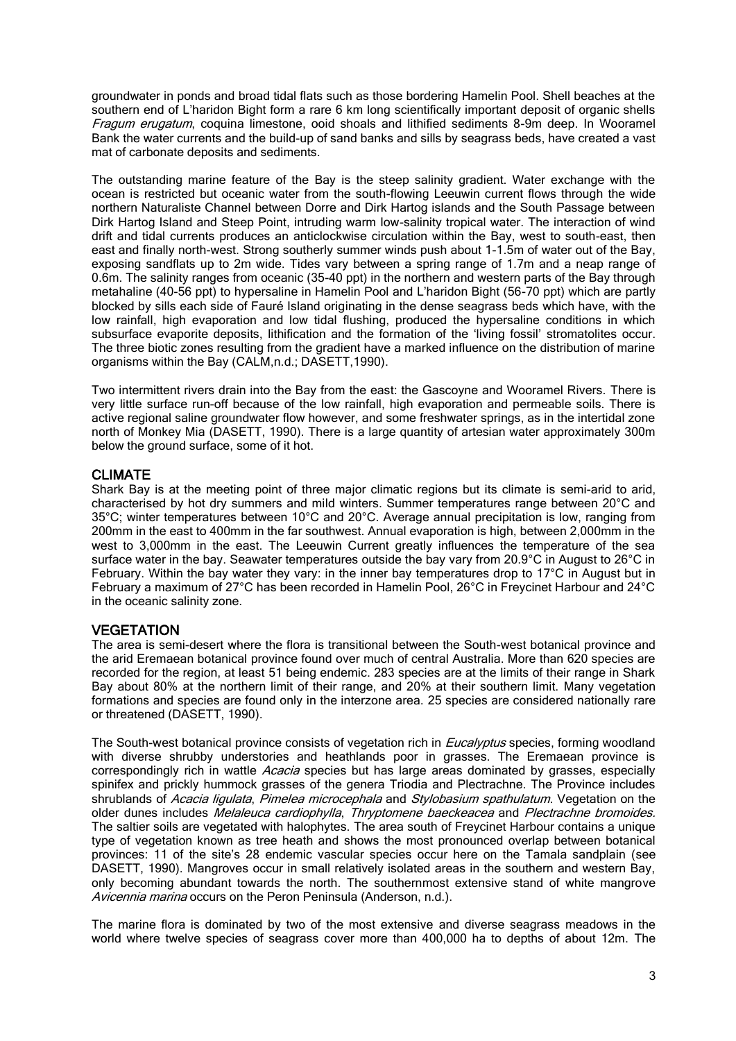groundwater in ponds and broad tidal flats such as those bordering Hamelin Pool. Shell beaches at the southern end of L'haridon Bight form a rare 6 km long scientifically important deposit of organic shells Fragum erugatum, coquina limestone, ooid shoals and lithified sediments 8-9m deep. In Wooramel Bank the water currents and the build-up of sand banks and sills by seagrass beds, have created a vast mat of carbonate deposits and sediments.

The outstanding marine feature of the Bay is the steep salinity gradient. Water exchange with the ocean is restricted but oceanic water from the south-flowing Leeuwin current flows through the wide northern Naturaliste Channel between Dorre and Dirk Hartog islands and the South Passage between Dirk Hartog Island and Steep Point, intruding warm low-salinity tropical water. The interaction of wind drift and tidal currents produces an anticlockwise circulation within the Bay, west to south-east, then east and finally north-west. Strong southerly summer winds push about 1-1.5m of water out of the Bay, exposing sandflats up to 2m wide. Tides vary between a spring range of 1.7m and a neap range of 0.6m. The salinity ranges from oceanic (35-40 ppt) in the northern and western parts of the Bay through metahaline (40-56 ppt) to hypersaline in Hamelin Pool and L'haridon Bight (56-70 ppt) which are partly blocked by sills each side of Fauré Island originating in the dense seagrass beds which have, with the low rainfall, high evaporation and low tidal flushing, produced the hypersaline conditions in which subsurface evaporite deposits, lithification and the formation of the 'living fossil' stromatolites occur. The three biotic zones resulting from the gradient have a marked influence on the distribution of marine organisms within the Bay (CALM,n.d.; DASETT,1990).

Two intermittent rivers drain into the Bay from the east: the Gascoyne and Wooramel Rivers. There is very little surface run-off because of the low rainfall, high evaporation and permeable soils. There is active regional saline groundwater flow however, and some freshwater springs, as in the intertidal zone north of Monkey Mia (DASETT, 1990). There is a large quantity of artesian water approximately 300m below the ground surface, some of it hot.

#### CLIMATE

Shark Bay is at the meeting point of three major climatic regions but its climate is semi-arid to arid, characterised by hot dry summers and mild winters. Summer temperatures range between 20°C and 35°C; winter temperatures between 10°C and 20°C. Average annual precipitation is low, ranging from 200mm in the east to 400mm in the far southwest. Annual evaporation is high, between 2,000mm in the west to 3,000mm in the east. The Leeuwin Current greatly influences the temperature of the sea surface water in the bay. Seawater temperatures outside the bay vary from 20.9°C in August to 26°C in February. Within the bay water they vary: in the inner bay temperatures drop to 17°C in August but in February a maximum of 27°C has been recorded in Hamelin Pool, 26°C in Freycinet Harbour and 24°C in the oceanic salinity zone.

#### **VEGETATION**

The area is semi-desert where the flora is transitional between the South-west botanical province and the arid Eremaean botanical province found over much of central Australia. More than 620 species are recorded for the region, at least 51 being endemic. 283 species are at the limits of their range in Shark Bay about 80% at the northern limit of their range, and 20% at their southern limit. Many vegetation formations and species are found only in the interzone area. 25 species are considered nationally rare or threatened (DASETT, 1990).

The South-west botanical province consists of vegetation rich in *Eucalyptus* species, forming woodland with diverse shrubby understories and heathlands poor in grasses. The Eremaean province is correspondingly rich in wattle Acacia species but has large areas dominated by grasses, especially spinifex and prickly hummock grasses of the genera Triodia and Plectrachne. The Province includes shrublands of Acacia ligulata, Pimelea microcephala and Stylobasium spathulatum. Vegetation on the older dunes includes Melaleuca cardiophylla, Thryptomene baeckeacea and Plectrachne bromoides. The saltier soils are vegetated with halophytes. The area south of Freycinet Harbour contains a unique type of vegetation known as tree heath and shows the most pronounced overlap between botanical provinces: 11 of the site's 28 endemic vascular species occur here on the Tamala sandplain (see DASETT, 1990). Mangroves occur in small relatively isolated areas in the southern and western Bay, only becoming abundant towards the north. The southernmost extensive stand of white mangrove Avicennia marina occurs on the Peron Peninsula (Anderson, n.d.).

The marine flora is dominated by two of the most extensive and diverse seagrass meadows in the world where twelve species of seagrass cover more than 400,000 ha to depths of about 12m. The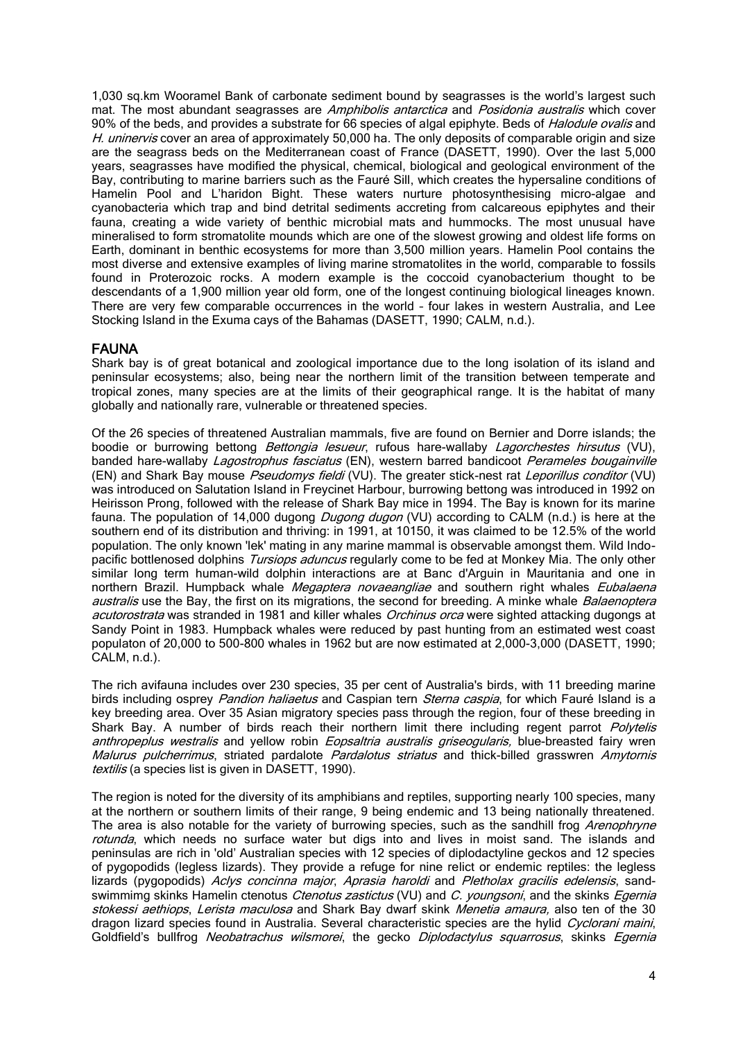1,030 sq.km Wooramel Bank of carbonate sediment bound by seagrasses is the world's largest such mat. The most abundant seagrasses are Amphibolis antarctica and Posidonia australis which cover 90% of the beds, and provides a substrate for 66 species of algal epiphyte. Beds of *Halodule ovalis* and H. uninervis cover an area of approximately 50,000 ha. The only deposits of comparable origin and size are the seagrass beds on the Mediterranean coast of France (DASETT, 1990). Over the last 5,000 years, seagrasses have modified the physical, chemical, biological and geological environment of the Bay, contributing to marine barriers such as the Fauré Sill, which creates the hypersaline conditions of Hamelin Pool and L'haridon Bight. These waters nurture photosynthesising micro-algae and cyanobacteria which trap and bind detrital sediments accreting from calcareous epiphytes and their fauna, creating a wide variety of benthic microbial mats and hummocks. The most unusual have mineralised to form stromatolite mounds which are one of the slowest growing and oldest life forms on Earth, dominant in benthic ecosystems for more than 3,500 million years. Hamelin Pool contains the most diverse and extensive examples of living marine stromatolites in the world, comparable to fossils found in Proterozoic rocks. A modern example is the coccoid cyanobacterium thought to be descendants of a 1,900 million year old form, one of the longest continuing biological lineages known. There are very few comparable occurrences in the world – four lakes in western Australia, and Lee Stocking Island in the Exuma cays of the Bahamas (DASETT, 1990; CALM, n.d.).

#### FAUNA

Shark bay is of great botanical and zoological importance due to the long isolation of its island and peninsular ecosystems; also, being near the northern limit of the transition between temperate and tropical zones, many species are at the limits of their geographical range. It is the habitat of many globally and nationally rare, vulnerable or threatened species.

Of the 26 species of threatened Australian mammals, five are found on Bernier and Dorre islands; the boodie or burrowing bettong *Bettongia lesueur*, rufous hare-wallaby *Lagorchestes hirsutus* (VU), banded hare-wallaby *Lagostrophus fasciatus* (EN), western barred bandicoot *Perameles bougainville* (EN) and Shark Bay mouse *Pseudomys fieldi* (VU). The greater stick-nest rat Leporillus conditor (VU) was introduced on Salutation Island in Freycinet Harbour, burrowing bettong was introduced in 1992 on Heirisson Prong, followed with the release of Shark Bay mice in 1994. The Bay is known for its marine fauna. The population of 14,000 dugong Dugong dugon (VU) according to CALM (n.d.) is here at the southern end of its distribution and thriving: in 1991, at 10150, it was claimed to be 12.5% of the world population. The only known 'lek' mating in any marine mammal is observable amongst them. Wild Indopacific bottlenosed dolphins Tursiops aduncus regularly come to be fed at Monkey Mia. The only other similar long term human-wild dolphin interactions are at Banc d'Arguin in Mauritania and one in northern Brazil. Humpback whale Megaptera novaeangliae and southern right whales Eubalaena australis use the Bay, the first on its migrations, the second for breeding. A minke whale Balaenoptera acutorostrata was stranded in 1981 and killer whales Orchinus orca were sighted attacking dugongs at Sandy Point in 1983. Humpback whales were reduced by past hunting from an estimated west coast populaton of 20,000 to 500-800 whales in 1962 but are now estimated at 2,000-3,000 (DASETT, 1990; CALM, n.d.).

The rich avifauna includes over 230 species, 35 per cent of Australia's birds, with 11 breeding marine birds including osprey *Pandion haliaetus* and Caspian tern *Sterna caspia*, for which Fauré Island is a key breeding area. Over 35 Asian migratory species pass through the region, four of these breeding in Shark Bay. A number of birds reach their northern limit there including regent parrot Polytelis anthropeplus westralis and yellow robin Eopsaltria australis griseogularis, blue-breasted fairy wren Malurus pulcherrimus, striated pardalote Pardalotus striatus and thick-billed grasswren Amytornis textilis (a species list is given in DASETT, 1990).

The region is noted for the diversity of its amphibians and reptiles, supporting nearly 100 species, many at the northern or southern limits of their range, 9 being endemic and 13 being nationally threatened. The area is also notable for the variety of burrowing species, such as the sandhill frog *Arenophryne* rotunda, which needs no surface water but digs into and lives in moist sand. The islands and peninsulas are rich in 'old' Australian species with 12 species of diplodactyline geckos and 12 species of pygopodids (legless lizards). They provide a refuge for nine relict or endemic reptiles: the legless lizards (pygopodids) Aclys concinna major, Aprasia haroldi and Pletholax gracilis edelensis, sandswimmimg skinks Hamelin ctenotus Ctenotus zastictus (VU) and C. youngsoni, and the skinks Egernia stokessi aethiops. Lerista maculosa and Shark Bay dwarf skink Menetia amaura, also ten of the 30 dragon lizard species found in Australia. Several characteristic species are the hylid Cyclorani maini, Goldfield's bullfrog Neobatrachus wilsmorei, the gecko Diplodactylus squarrosus, skinks Egernia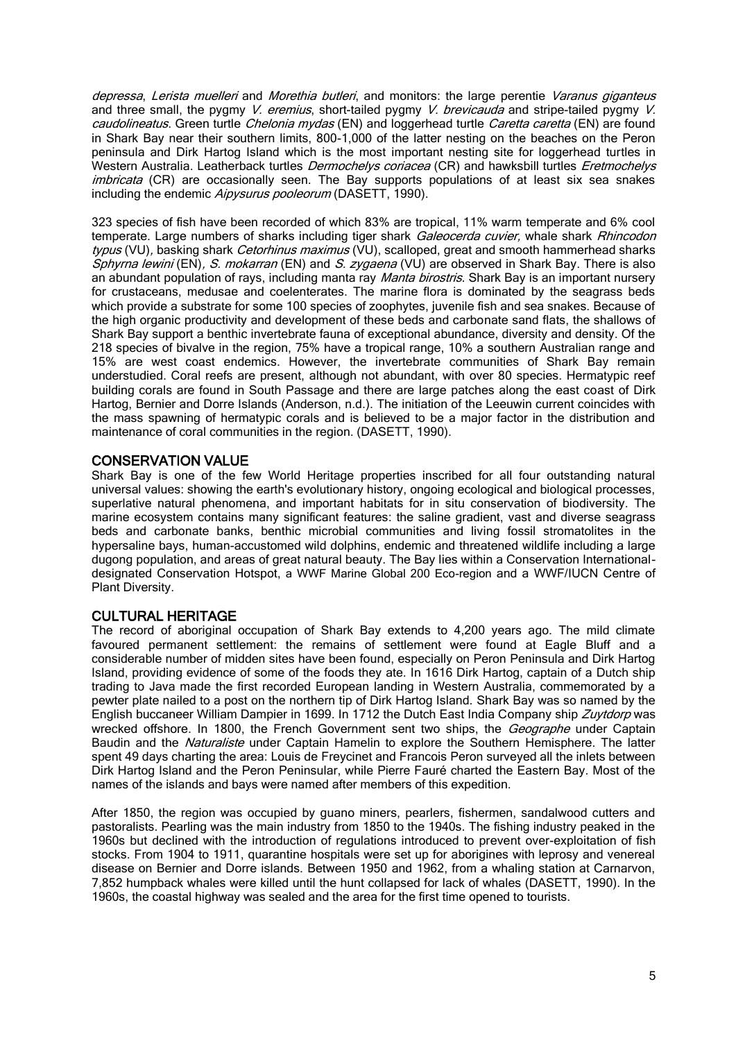depressa, Lerista muelleri and Morethia butleri, and monitors: the large perentie Varanus giganteus and three small, the pygmy V. eremius, short-tailed pygmy V. brevicauda and stripe-tailed pygmy V. caudolineatus. Green turtle Chelonia mydas (EN) and loggerhead turtle Caretta caretta (EN) are found in Shark Bay near their southern limits, 800-1,000 of the latter nesting on the beaches on the Peron peninsula and Dirk Hartog Island which is the most important nesting site for loggerhead turtles in Western Australia. Leatherback turtles *Dermochelys coriacea* (CR) and hawksbill turtles *Eretmochelys* imbricata (CR) are occasionally seen. The Bay supports populations of at least six sea snakes including the endemic Aipysurus pooleorum (DASETT, 1990).

323 species of fish have been recorded of which 83% are tropical, 11% warm temperate and 6% cool temperate. Large numbers of sharks including tiger shark Galeocerda cuvier, whale shark Rhincodon typus (VU), basking shark Cetorhinus maximus (VU), scalloped, great and smooth hammerhead sharks Sphyrna lewini (EN), S. mokarran (EN) and S. zygaena (VU) are observed in Shark Bay. There is also an abundant population of rays, including manta ray Manta birostris. Shark Bay is an important nursery for crustaceans, medusae and coelenterates. The marine flora is dominated by the seagrass beds which provide a substrate for some 100 species of zoophytes, juvenile fish and sea snakes. Because of the high organic productivity and development of these beds and carbonate sand flats, the shallows of Shark Bay support a benthic invertebrate fauna of exceptional abundance, diversity and density. Of the 218 species of bivalve in the region, 75% have a tropical range, 10% a southern Australian range and 15% are west coast endemics. However, the invertebrate communities of Shark Bay remain understudied. Coral reefs are present, although not abundant, with over 80 species. Hermatypic reef building corals are found in South Passage and there are large patches along the east coast of Dirk Hartog, Bernier and Dorre Islands (Anderson, n.d.). The initiation of the Leeuwin current coincides with the mass spawning of hermatypic corals and is believed to be a major factor in the distribution and maintenance of coral communities in the region. (DASETT, 1990).

#### CONSERVATION VALUE

Shark Bay is one of the few World Heritage properties inscribed for all four outstanding natural universal values: showing the earth's evolutionary history, ongoing ecological and biological processes, superlative natural phenomena, and important habitats for in situ conservation of biodiversity. The marine ecosystem contains many significant features: the saline gradient, vast and diverse seagrass beds and carbonate banks, benthic microbial communities and living fossil stromatolites in the hypersaline bays, human-accustomed wild dolphins, endemic and threatened wildlife including a large dugong population, and areas of great natural beauty. The Bay lies within a Conservation Internationaldesignated Conservation Hotspot, a WWF Marine Global 200 Eco-region and a WWF/IUCN Centre of Plant Diversity.

## CULTURAL HERITAGE

The record of aboriginal occupation of Shark Bay extends to 4,200 years ago. The mild climate favoured permanent settlement: the remains of settlement were found at Eagle Bluff and a considerable number of midden sites have been found, especially on Peron Peninsula and Dirk Hartog Island, providing evidence of some of the foods they ate. In 1616 Dirk Hartog, captain of a Dutch ship trading to Java made the first recorded European landing in Western Australia, commemorated by a pewter plate nailed to a post on the northern tip of Dirk Hartog Island. Shark Bay was so named by the English buccaneer William Dampier in 1699. In 1712 the Dutch East India Company ship Zuytdorp was wrecked offshore. In 1800, the French Government sent two ships, the *Geographe* under Captain Baudin and the *Naturaliste* under Captain Hamelin to explore the Southern Hemisphere. The latter spent 49 days charting the area: Louis de Freycinet and Francois Peron surveyed all the inlets between Dirk Hartog Island and the Peron Peninsular, while Pierre Fauré charted the Eastern Bay. Most of the names of the islands and bays were named after members of this expedition.

After 1850, the region was occupied by guano miners, pearlers, fishermen, sandalwood cutters and pastoralists. Pearling was the main industry from 1850 to the 1940s. The fishing industry peaked in the 1960s but declined with the introduction of regulations introduced to prevent over-exploitation of fish stocks. From 1904 to 1911, quarantine hospitals were set up for aborigines with leprosy and venereal disease on Bernier and Dorre islands. Between 1950 and 1962, from a whaling station at Carnarvon, 7,852 humpback whales were killed until the hunt collapsed for lack of whales (DASETT, 1990). In the 1960s, the coastal highway was sealed and the area for the first time opened to tourists.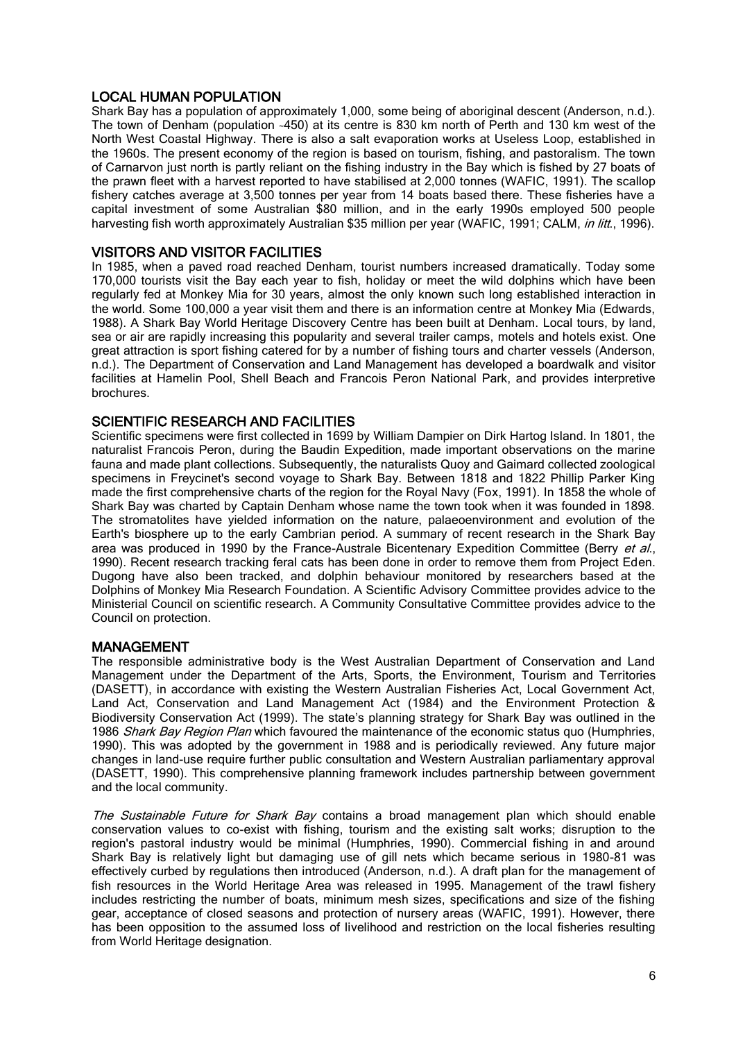## LOCAL HUMAN POPULATION

Shark Bay has a population of approximately 1,000, some being of aboriginal descent (Anderson, n.d.). The town of Denham (population ~450) at its centre is 830 km north of Perth and 130 km west of the North West Coastal Highway. There is also a salt evaporation works at Useless Loop, established in the 1960s. The present economy of the region is based on tourism, fishing, and pastoralism. The town of Carnarvon just north is partly reliant on the fishing industry in the Bay which is fished by 27 boats of the prawn fleet with a harvest reported to have stabilised at 2,000 tonnes (WAFIC, 1991). The scallop fishery catches average at 3,500 tonnes per year from 14 boats based there. These fisheries have a capital investment of some Australian \$80 million, and in the early 1990s employed 500 people harvesting fish worth approximately Australian \$35 million per year (WAFIC, 1991; CALM, in litt., 1996).

## VISITORS AND VISITOR FACILITIES

In 1985, when a paved road reached Denham, tourist numbers increased dramatically. Today some 170,000 tourists visit the Bay each year to fish, holiday or meet the wild dolphins which have been regularly fed at Monkey Mia for 30 years, almost the only known such long established interaction in the world. Some 100,000 a year visit them and there is an information centre at Monkey Mia (Edwards, 1988). A Shark Bay World Heritage Discovery Centre has been built at Denham. Local tours, by land, sea or air are rapidly increasing this popularity and several trailer camps, motels and hotels exist. One great attraction is sport fishing catered for by a number of fishing tours and charter vessels (Anderson, n.d.). The Department of Conservation and Land Management has developed a boardwalk and visitor facilities at Hamelin Pool, Shell Beach and Francois Peron National Park, and provides interpretive brochures.

## SCIENTIFIC RESEARCH AND FACILITIES

Scientific specimens were first collected in 1699 by William Dampier on Dirk Hartog Island. In 1801, the naturalist Francois Peron, during the Baudin Expedition, made important observations on the marine fauna and made plant collections. Subsequently, the naturalists Quoy and Gaimard collected zoological specimens in Freycinet's second voyage to Shark Bay. Between 1818 and 1822 Phillip Parker King made the first comprehensive charts of the region for the Royal Navy (Fox, 1991). In 1858 the whole of Shark Bay was charted by Captain Denham whose name the town took when it was founded in 1898. The stromatolites have yielded information on the nature, palaeoenvironment and evolution of the Earth's biosphere up to the early Cambrian period. A summary of recent research in the Shark Bay area was produced in 1990 by the France-Australe Bicentenary Expedition Committee (Berry et al., 1990). Recent research tracking feral cats has been done in order to remove them from Project Eden. Dugong have also been tracked, and dolphin behaviour monitored by researchers based at the Dolphins of Monkey Mia Research Foundation. A Scientific Advisory Committee provides advice to the Ministerial Council on scientific research. A Community Consultative Committee provides advice to the Council on protection.

#### MANAGEMENT

The responsible administrative body is the West Australian Department of Conservation and Land Management under the Department of the Arts, Sports, the Environment, Tourism and Territories (DASETT), in accordance with existing the Western Australian Fisheries Act, Local Government Act, Land Act, Conservation and Land Management Act (1984) and the Environment Protection & Biodiversity Conservation Act (1999). The state's planning strategy for Shark Bay was outlined in the 1986 Shark Bay Region Plan which favoured the maintenance of the economic status quo (Humphries, 1990). This was adopted by the government in 1988 and is periodically reviewed. Any future major changes in land-use require further public consultation and Western Australian parliamentary approval (DASETT, 1990). This comprehensive planning framework includes partnership between government and the local community.

The Sustainable Future for Shark Bay contains a broad management plan which should enable conservation values to co-exist with fishing, tourism and the existing salt works; disruption to the region's pastoral industry would be minimal (Humphries, 1990). Commercial fishing in and around Shark Bay is relatively light but damaging use of gill nets which became serious in 1980-81 was effectively curbed by regulations then introduced (Anderson, n.d.). A draft plan for the management of fish resources in the World Heritage Area was released in 1995. Management of the trawl fishery includes restricting the number of boats, minimum mesh sizes, specifications and size of the fishing gear, acceptance of closed seasons and protection of nursery areas (WAFIC, 1991). However, there has been opposition to the assumed loss of livelihood and restriction on the local fisheries resulting from World Heritage designation.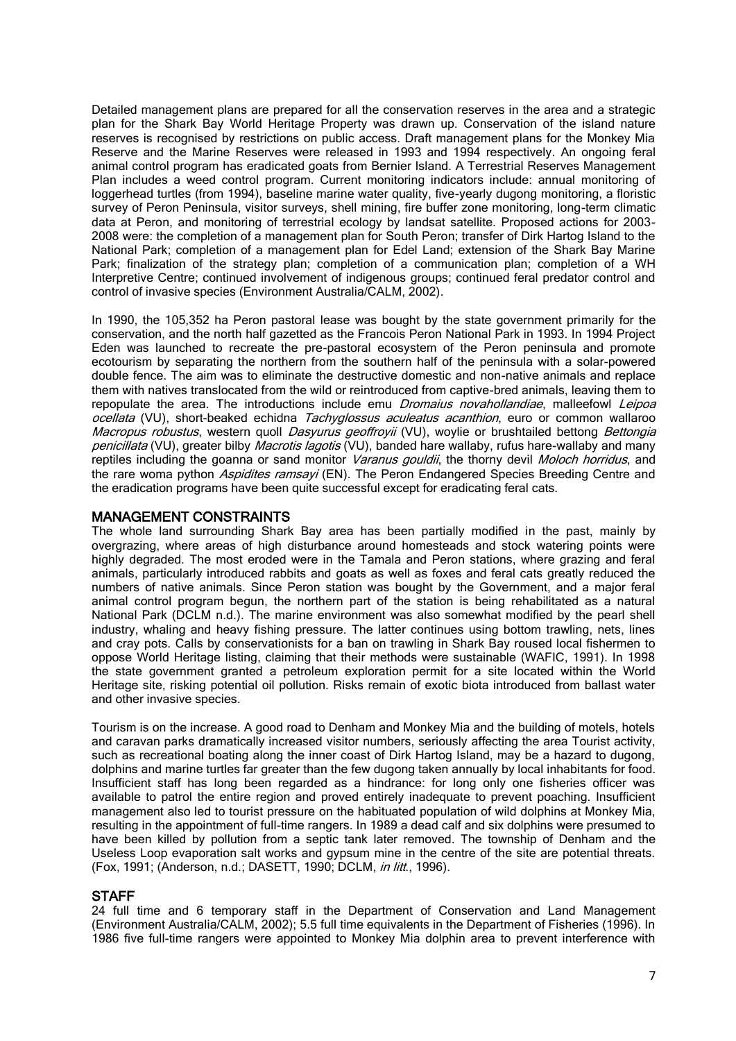Detailed management plans are prepared for all the conservation reserves in the area and a strategic plan for the Shark Bay World Heritage Property was drawn up. Conservation of the island nature reserves is recognised by restrictions on public access. Draft management plans for the Monkey Mia Reserve and the Marine Reserves were released in 1993 and 1994 respectively. An ongoing feral animal control program has eradicated goats from Bernier Island. A Terrestrial Reserves Management Plan includes a weed control program. Current monitoring indicators include: annual monitoring of loggerhead turtles (from 1994), baseline marine water quality, five-yearly dugong monitoring, a floristic survey of Peron Peninsula, visitor surveys, shell mining, fire buffer zone monitoring, long-term climatic data at Peron, and monitoring of terrestrial ecology by landsat satellite. Proposed actions for 2003- 2008 were: the completion of a management plan for South Peron; transfer of Dirk Hartog Island to the National Park; completion of a management plan for Edel Land; extension of the Shark Bay Marine Park; finalization of the strategy plan; completion of a communication plan; completion of a WH Interpretive Centre; continued involvement of indigenous groups; continued feral predator control and control of invasive species (Environment Australia/CALM, 2002).

In 1990, the 105,352 ha Peron pastoral lease was bought by the state government primarily for the conservation, and the north half gazetted as the Francois Peron National Park in 1993. In 1994 Project Eden was launched to recreate the pre-pastoral ecosystem of the Peron peninsula and promote ecotourism by separating the northern from the southern half of the peninsula with a solar-powered double fence. The aim was to eliminate the destructive domestic and non-native animals and replace them with natives translocated from the wild or reintroduced from captive-bred animals, leaving them to repopulate the area. The introductions include emu *Dromaius novahollandiae*, malleefowl Leipoa ocellata (VU), short-beaked echidna Tachyglossus aculeatus acanthion, euro or common wallaroo Macropus robustus, western quoll Dasyurus geoffroyii (VU), woylie or brushtailed bettong Bettongia penicillata (VU), greater bilby Macrotis lagotis (VU), banded hare wallaby, rufus hare-wallaby and many reptiles including the goanna or sand monitor Varanus gouldii, the thorny devil Moloch horridus, and the rare woma python Aspidites ramsayi (EN). The Peron Endangered Species Breeding Centre and the eradication programs have been quite successful except for eradicating feral cats.

#### MANAGEMENT CONSTRAINTS

The whole land surrounding Shark Bay area has been partially modified in the past, mainly by overgrazing, where areas of high disturbance around homesteads and stock watering points were highly degraded. The most eroded were in the Tamala and Peron stations, where grazing and feral animals, particularly introduced rabbits and goats as well as foxes and feral cats greatly reduced the numbers of native animals. Since Peron station was bought by the Government, and a major feral animal control program begun, the northern part of the station is being rehabilitated as a natural National Park (DCLM n.d.). The marine environment was also somewhat modified by the pearl shell industry, whaling and heavy fishing pressure. The latter continues using bottom trawling, nets, lines and cray pots. Calls by conservationists for a ban on trawling in Shark Bay roused local fishermen to oppose World Heritage listing, claiming that their methods were sustainable (WAFIC, 1991). In 1998 the state government granted a petroleum exploration permit for a site located within the World Heritage site, risking potential oil pollution. Risks remain of exotic biota introduced from ballast water and other invasive species.

Tourism is on the increase. A good road to Denham and Monkey Mia and the building of motels, hotels and caravan parks dramatically increased visitor numbers, seriously affecting the area Tourist activity, such as recreational boating along the inner coast of Dirk Hartog Island, may be a hazard to dugong, dolphins and marine turtles far greater than the few dugong taken annually by local inhabitants for food. Insufficient staff has long been regarded as a hindrance: for long only one fisheries officer was available to patrol the entire region and proved entirely inadequate to prevent poaching. Insufficient management also led to tourist pressure on the habituated population of wild dolphins at Monkey Mia, resulting in the appointment of full-time rangers. In 1989 a dead calf and six dolphins were presumed to have been killed by pollution from a septic tank later removed. The township of Denham and the Useless Loop evaporation salt works and gypsum mine in the centre of the site are potential threats. (Fox, 1991; (Anderson, n.d.; DASETT, 1990; DCLM, in litt., 1996).

#### **STAFF**

24 full time and 6 temporary staff in the Department of Conservation and Land Management (Environment Australia/CALM, 2002); 5.5 full time equivalents in the Department of Fisheries (1996). In 1986 five full-time rangers were appointed to Monkey Mia dolphin area to prevent interference with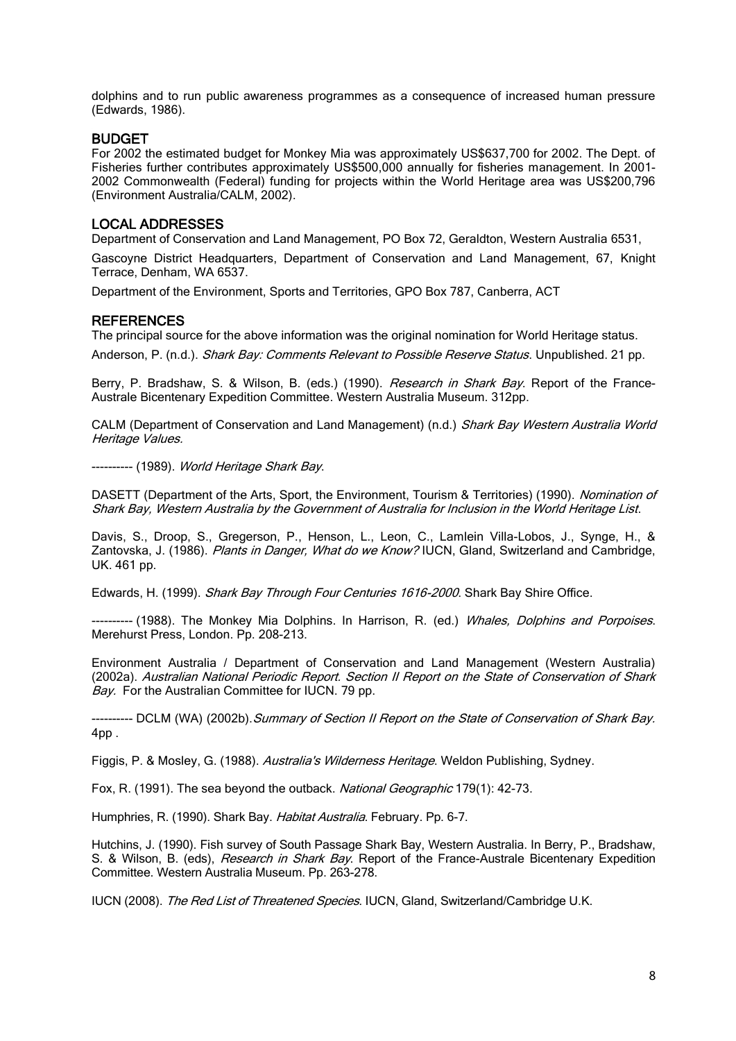dolphins and to run public awareness programmes as a consequence of increased human pressure (Edwards, 1986).

#### BUDGET

For 2002 the estimated budget for Monkey Mia was approximately US\$637,700 for 2002. The Dept. of Fisheries further contributes approximately US\$500,000 annually for fisheries management. In 2001- 2002 Commonwealth (Federal) funding for projects within the World Heritage area was US\$200,796 (Environment Australia/CALM, 2002).

#### LOCAL ADDRESSES

Department of Conservation and Land Management, PO Box 72, Geraldton, Western Australia 6531,

Gascoyne District Headquarters, Department of Conservation and Land Management, 67, Knight Terrace, Denham, WA 6537.

Department of the Environment, Sports and Territories, GPO Box 787, Canberra, ACT

#### **REFERENCES**

The principal source for the above information was the original nomination for World Heritage status.

Anderson, P. (n.d.). Shark Bay: Comments Relevant to Possible Reserve Status. Unpublished. 21 pp.

Berry, P. Bradshaw, S. & Wilson, B. (eds.) (1990). Research in Shark Bay. Report of the France-Australe Bicentenary Expedition Committee. Western Australia Museum. 312pp.

CALM (Department of Conservation and Land Management) (n.d.) Shark Bay Western Australia World Heritage Values.

---------- (1989). World Heritage Shark Bay.

DASETT (Department of the Arts, Sport, the Environment, Tourism & Territories) (1990). Nomination of Shark Bay, Western Australia by the Government of Australia for Inclusion in the World Heritage List.

Davis, S., Droop, S., Gregerson, P., Henson, L., Leon, C., Lamlein Villa-Lobos, J., Synge, H., & Zantovska, J. (1986). Plants in Danger, What do we Know? IUCN, Gland, Switzerland and Cambridge, UK. 461 pp.

Edwards, H. (1999). Shark Bay Through Four Centuries 1616-2000. Shark Bay Shire Office.

---------- (1988). The Monkey Mia Dolphins. In Harrison, R. (ed.) Whales, Dolphins and Porpoises. Merehurst Press, London, Pp. 208-213.

Environment Australia / Department of Conservation and Land Management (Western Australia) (2002a). Australian National Periodic Report. Section II Report on the State of Conservation of Shark Bay. For the Australian Committee for IUCN. 79 pp.

-- DCLM (WA) (2002b). Summary of Section II Report on the State of Conservation of Shark Bay. 4pp .

Figgis, P. & Mosley, G. (1988). Australia's Wilderness Heritage. Weldon Publishing, Sydney.

Fox, R. (1991). The sea beyond the outback. National Geographic 179(1): 42-73.

Humphries, R. (1990). Shark Bay. Habitat Australia. February. Pp. 6-7.

Hutchins, J. (1990). Fish survey of South Passage Shark Bay, Western Australia. In Berry, P., Bradshaw, S. & Wilson, B. (eds), Research in Shark Bay. Report of the France-Australe Bicentenary Expedition Committee. Western Australia Museum. Pp. 263-278.

IUCN (2008). The Red List of Threatened Species. IUCN, Gland, Switzerland/Cambridge U.K.